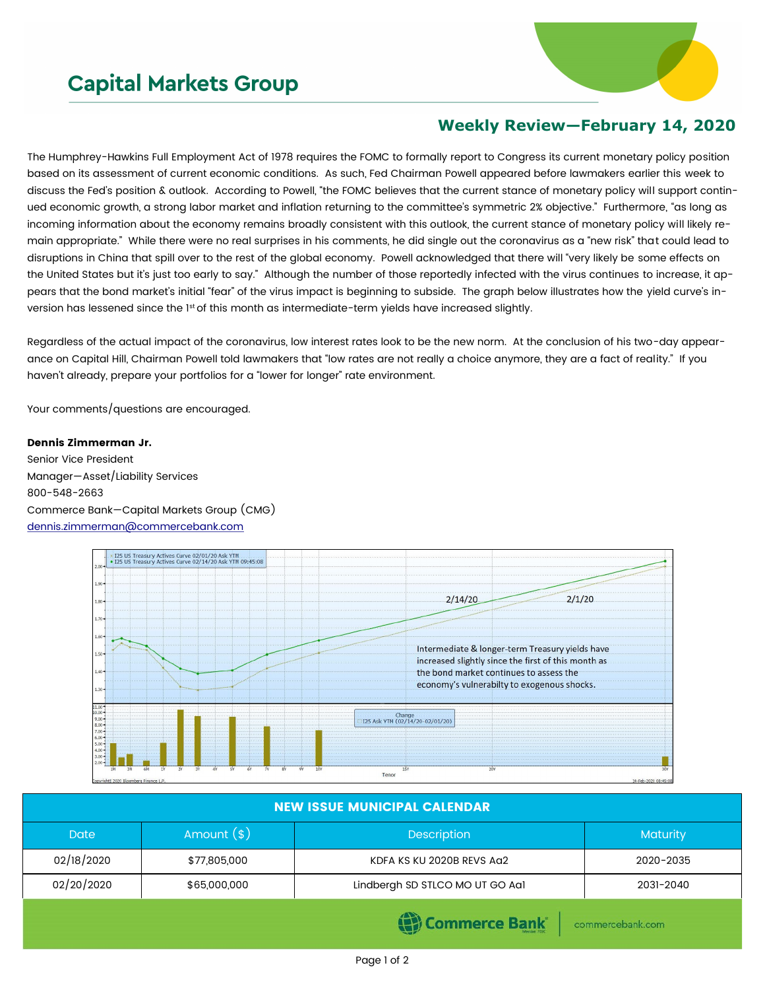## **Capital Markets Group**



## **Weekly Review—February 14, 2020**

The Humphrey-Hawkins Full Employment Act of 1978 requires the FOMC to formally report to Congress its current monetary policy position based on its assessment of current economic conditions. As such, Fed Chairman Powell appeared before lawmakers earlier this week to discuss the Fed's position & outlook. According to Powell, "the FOMC believes that the current stance of monetary policy will support continued economic growth, a strong labor market and inflation returning to the committee's symmetric 2% objective." Furthermore, "as long as incoming information about the economy remains broadly consistent with this outlook, the current stance of monetary policy will likely remain appropriate." While there were no real surprises in his comments, he did single out the coronavirus as a "new risk" that could lead to disruptions in China that spill over to the rest of the global economy. Powell acknowledged that there will "very likely be some effects on the United States but it's just too early to say." Although the number of those reportedly infected with the virus continues to increase, it appears that the bond market's initial "fear" of the virus impact is beginning to subside. The graph below illustrates how the yield curve's inversion has lessened since the 1st of this month as intermediate-term yields have increased slightly.

Regardless of the actual impact of the coronavirus, low interest rates look to be the new norm. At the conclusion of his two-day appearance on Capital Hill, Chairman Powell told lawmakers that "low rates are not really a choice anymore, they are a fact of reality." If you haven't already, prepare your portfolios for a "lower for longer" rate environment.

Your comments/questions are encouraged.

## Dennis Zimmerman Jr.

Senior Vice President Manager—Asset/Liability Services 800-548-2663 Commerce Bank—Capital Markets Group (CMG) [dennis.zimmerman@commercebank.com](mailto:Dennis.Zimmerman@commercebank.com)



| <b>NEW ISSUE MUNICIPAL CALENDAR</b> |                                    |                                 |           |  |  |  |
|-------------------------------------|------------------------------------|---------------------------------|-----------|--|--|--|
| <b>Date</b>                         | Amount $(*)$<br><b>Description</b> |                                 | Maturity  |  |  |  |
| 02/18/2020                          | \$77,805,000                       | KDFA KS KU 2020B REVS Ag2       | 2020-2035 |  |  |  |
| 02/20/2020                          | \$65,000,000                       | Lindbergh SD STLCO MO UT GO Aa1 | 2031-2040 |  |  |  |
|                                     |                                    | <b>CONTRACTOR</b>               |           |  |  |  |

**(B)** Commerce Bank

commercebank.com